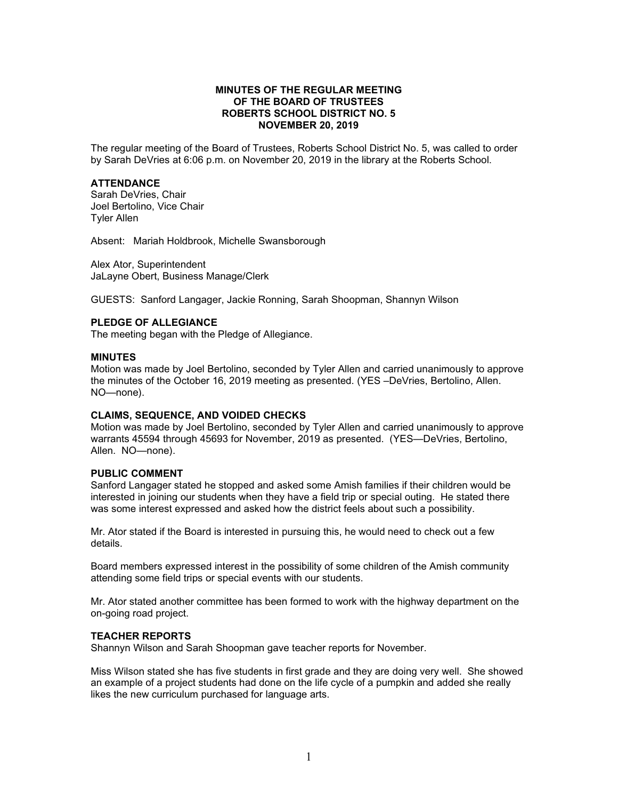# **MINUTES OF THE REGULAR MEETING OF THE BOARD OF TRUSTEES ROBERTS SCHOOL DISTRICT NO. 5 NOVEMBER 20, 2019**

The regular meeting of the Board of Trustees, Roberts School District No. 5, was called to order by Sarah DeVries at 6:06 p.m. on November 20, 2019 in the library at the Roberts School.

# **ATTENDANCE**

Sarah DeVries, Chair Joel Bertolino, Vice Chair Tyler Allen

Absent: Mariah Holdbrook, Michelle Swansborough

Alex Ator, Superintendent JaLayne Obert, Business Manage/Clerk

GUESTS: Sanford Langager, Jackie Ronning, Sarah Shoopman, Shannyn Wilson

### **PLEDGE OF ALLEGIANCE**

The meeting began with the Pledge of Allegiance.

### **MINUTES**

Motion was made by Joel Bertolino, seconded by Tyler Allen and carried unanimously to approve the minutes of the October 16, 2019 meeting as presented. (YES –DeVries, Bertolino, Allen. NO—none).

### **CLAIMS, SEQUENCE, AND VOIDED CHECKS**

Motion was made by Joel Bertolino, seconded by Tyler Allen and carried unanimously to approve warrants 45594 through 45693 for November, 2019 as presented. (YES—DeVries, Bertolino, Allen. NO—none).

# **PUBLIC COMMENT**

Sanford Langager stated he stopped and asked some Amish families if their children would be interested in joining our students when they have a field trip or special outing. He stated there was some interest expressed and asked how the district feels about such a possibility.

Mr. Ator stated if the Board is interested in pursuing this, he would need to check out a few details.

Board members expressed interest in the possibility of some children of the Amish community attending some field trips or special events with our students.

Mr. Ator stated another committee has been formed to work with the highway department on the on-going road project.

### **TEACHER REPORTS**

Shannyn Wilson and Sarah Shoopman gave teacher reports for November.

Miss Wilson stated she has five students in first grade and they are doing very well. She showed an example of a project students had done on the life cycle of a pumpkin and added she really likes the new curriculum purchased for language arts.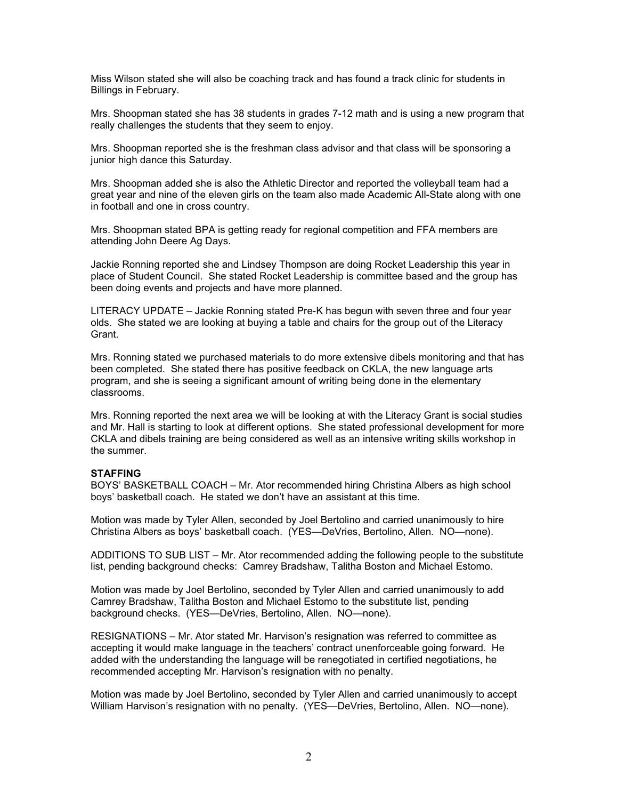Miss Wilson stated she will also be coaching track and has found a track clinic for students in Billings in February.

Mrs. Shoopman stated she has 38 students in grades 7-12 math and is using a new program that really challenges the students that they seem to enjoy.

Mrs. Shoopman reported she is the freshman class advisor and that class will be sponsoring a junior high dance this Saturday.

Mrs. Shoopman added she is also the Athletic Director and reported the volleyball team had a great year and nine of the eleven girls on the team also made Academic All-State along with one in football and one in cross country.

Mrs. Shoopman stated BPA is getting ready for regional competition and FFA members are attending John Deere Ag Days.

Jackie Ronning reported she and Lindsey Thompson are doing Rocket Leadership this year in place of Student Council. She stated Rocket Leadership is committee based and the group has been doing events and projects and have more planned.

LITERACY UPDATE – Jackie Ronning stated Pre-K has begun with seven three and four year olds. She stated we are looking at buying a table and chairs for the group out of the Literacy Grant.

Mrs. Ronning stated we purchased materials to do more extensive dibels monitoring and that has been completed. She stated there has positive feedback on CKLA, the new language arts program, and she is seeing a significant amount of writing being done in the elementary classrooms.

Mrs. Ronning reported the next area we will be looking at with the Literacy Grant is social studies and Mr. Hall is starting to look at different options. She stated professional development for more CKLA and dibels training are being considered as well as an intensive writing skills workshop in the summer.

### **STAFFING**

BOYS' BASKETBALL COACH – Mr. Ator recommended hiring Christina Albers as high school boys' basketball coach. He stated we don't have an assistant at this time.

Motion was made by Tyler Allen, seconded by Joel Bertolino and carried unanimously to hire Christina Albers as boys' basketball coach. (YES—DeVries, Bertolino, Allen. NO—none).

ADDITIONS TO SUB LIST – Mr. Ator recommended adding the following people to the substitute list, pending background checks: Camrey Bradshaw, Talitha Boston and Michael Estomo.

Motion was made by Joel Bertolino, seconded by Tyler Allen and carried unanimously to add Camrey Bradshaw, Talitha Boston and Michael Estomo to the substitute list, pending background checks. (YES—DeVries, Bertolino, Allen. NO—none).

RESIGNATIONS – Mr. Ator stated Mr. Harvison's resignation was referred to committee as accepting it would make language in the teachers' contract unenforceable going forward. He added with the understanding the language will be renegotiated in certified negotiations, he recommended accepting Mr. Harvison's resignation with no penalty.

Motion was made by Joel Bertolino, seconded by Tyler Allen and carried unanimously to accept William Harvison's resignation with no penalty. (YES—DeVries, Bertolino, Allen. NO—none).